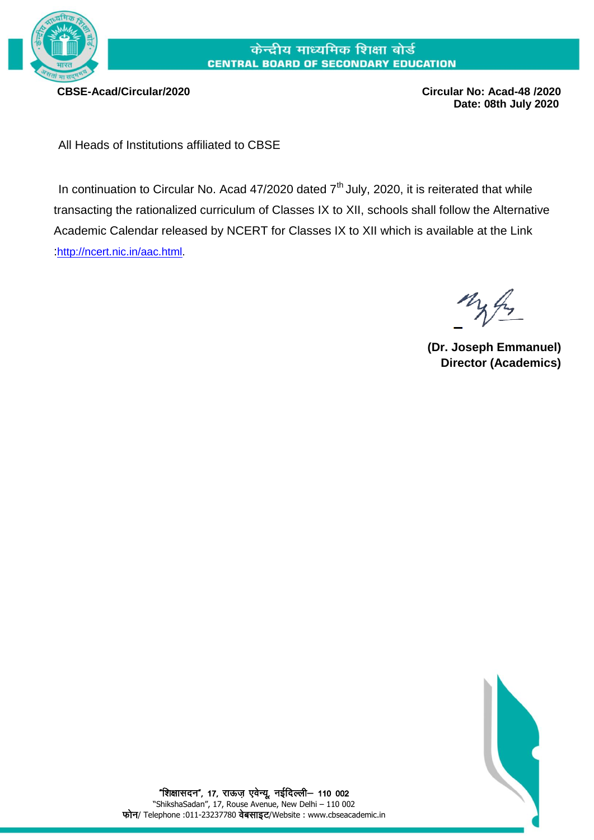

## केन्द्रीय माध्यमिक शिक्षा बोर्ड **CENTRAL BOARD OF SECONDARY EDUCATION**

 **CBSE-Acad/Circular/2020 Circular No: Acad-48 /2020 Date: 08th July 2020**

All Heads of Institutions affiliated to CBSE

In continuation to Circular No. Acad  $47/2020$  dated  $7<sup>th</sup>$  July, 2020, it is reiterated that while transacting the rationalized curriculum of Classes IX to XII, schools shall follow the Alternative Academic Calendar released by NCERT for Classes IX to XII which is available at the Link :<http://ncert.nic.in/aac.html>.

**(Dr. Joseph Emmanuel) Director (Academics)**